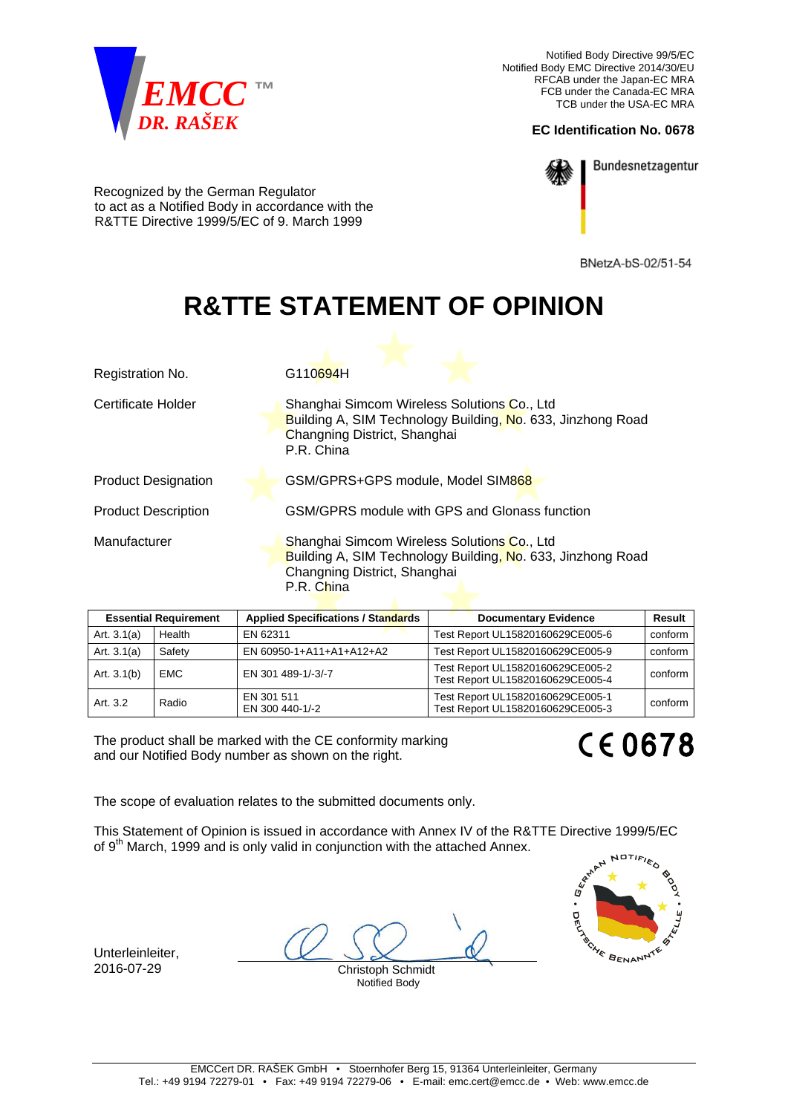

Notified Body Directive 99/5/EC Notified Body EMC Directive 2014/30/EU RFCAB under the Japan-EC MRA FCB under the Canada-EC MRA TCB under the USA-EC MRA

## **EC Identification No. 0678**



Bundesnetzagentur

Recognized by the German Regulator to act as a Notified Body in accordance with the R&TTE Directive 1999/5/EC of 9. March 1999

BNetzA-bS-02/51-54

## **R&TTE STATEMENT OF OPINION**

| Registration No.           | G110694H                                                                                                                                                 |  |
|----------------------------|----------------------------------------------------------------------------------------------------------------------------------------------------------|--|
| Certificate Holder         | Shanghai Simcom Wireless Solutions Co., Ltd<br>Building A, SIM Technology Building, No. 633, Jinzhong Road<br>Changning District, Shanghai<br>P.R. China |  |
| <b>Product Designation</b> | GSM/GPRS+GPS module, Model SIM868                                                                                                                        |  |
| <b>Product Description</b> | GSM/GPRS module with GPS and Glonass function                                                                                                            |  |
| Manufacturer               | Shanghai Simcom Wireless Solutions Co., Ltd<br>Building A, SIM Technology Building, No. 633, Jinzhong Road<br>Changning District, Shanghai<br>P.R. China |  |

| <b>Essential Requirement</b> |            | <b>Applied Specifications / Standards</b> | <b>Documentary Evidence</b>                                          | <b>Result</b> |
|------------------------------|------------|-------------------------------------------|----------------------------------------------------------------------|---------------|
| Art. $3.1(a)$                | Health     | EN 62311                                  | Test Report UL15820160629CE005-6                                     | conform       |
| Art. $3.1(a)$                | Safety     | EN 60950-1+A11+A1+A12+A2                  | Test Report UL15820160629CE005-9                                     | conform       |
| Art. $3.1(b)$                | <b>EMC</b> | EN 301 489-1/-3/-7                        | Test Report UL15820160629CE005-2<br>Test Report UL15820160629CE005-4 | conform       |
| Art. 3.2                     | Radio      | EN 301 511<br>EN 300 440-1/-2             | Test Report UL15820160629CE005-1<br>Test Report UL15820160629CE005-3 | conform       |

The product shall be marked with the CE conformity marking and our Notified Body number as shown on the right.

**CE0678** 

The scope of evaluation relates to the submitted documents only.

This Statement of Opinion is issued in accordance with Annex IV of the R&TTE Directive 1999/5/EC of 9<sup>th</sup> March, 1999 and is only valid in conjunction with the attached Annex.

Unterleinleiter, 2016-07-29 Christoph Schmidt

Notified Body

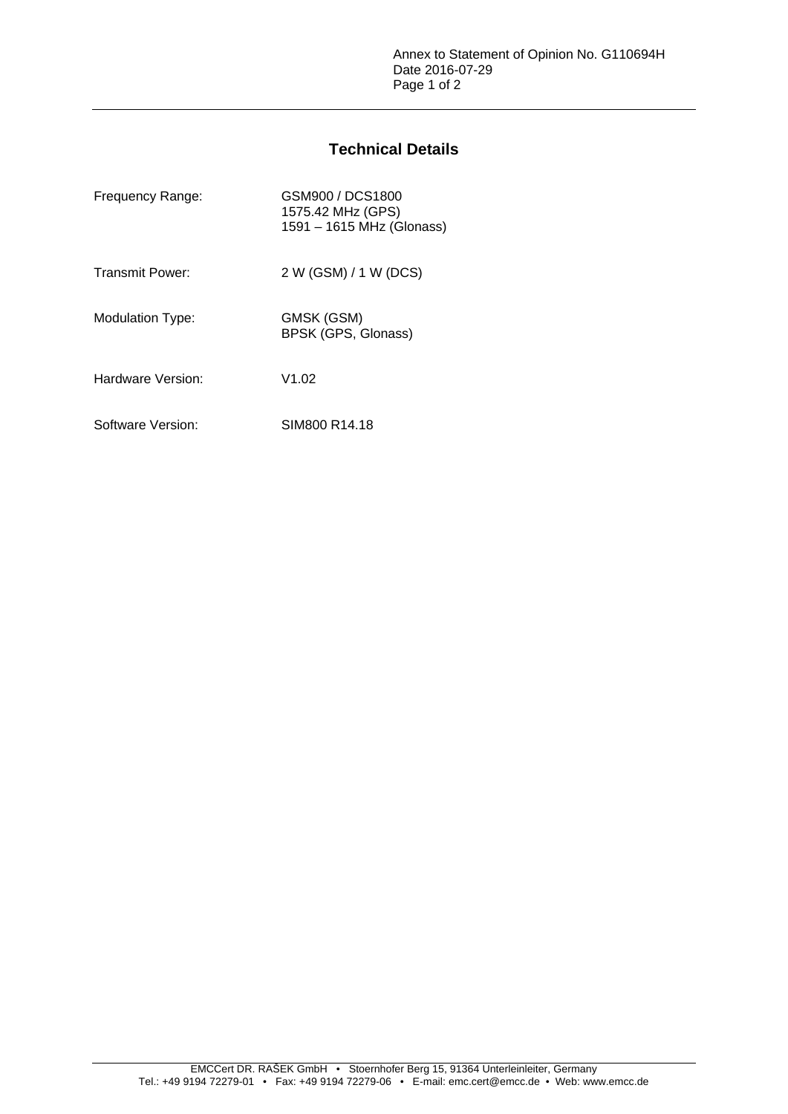## **Technical Details**

| Frequency Range:       | GSM900 / DCS1800<br>1575.42 MHz (GPS)<br>1591 - 1615 MHz (Glonass) |
|------------------------|--------------------------------------------------------------------|
| <b>Transmit Power:</b> | 2 W (GSM) / 1 W (DCS)                                              |
| Modulation Type:       | GMSK (GSM)<br>BPSK (GPS, Glonass)                                  |
| Hardware Version:      | V1.02                                                              |
| Software Version:      | SIM800 R14.18                                                      |